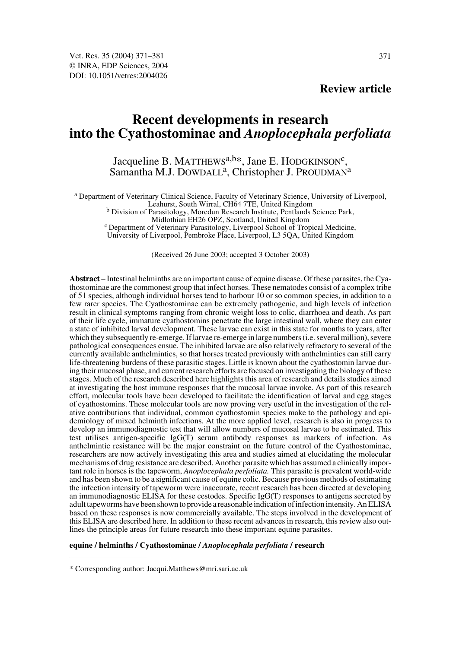# **Review article**

# **Recent developments in research into the Cyathostominae and** *Anoplocephala perfoliata*

# Jacqueline B. MATTHEWS<sup>a,b\*</sup>, Jane E. HODGKINSON<sup>c</sup>, Samantha M.J. DOWDALL<sup>a</sup>, Christopher J. PROUDMAN<sup>a</sup>

a Department of Veterinary Clinical Science, Faculty of Veterinary Science, University of Liverpool,

<sup>b</sup> Division of Parasitology, Moredun Research Institute, Pentlands Science Park, Midlothian EH26 OPZ, Scotland, United Kingdom

<sup>c</sup> Department of Veterinary Parasitology, Liverpool School of Tropical Medicine, University of Liverpool, Pembroke Place, Liverpool, L3 5QA, United Kingdom

(Received 26 June 2003; accepted 3 October 2003)

**Abstract** – Intestinal helminths are an important cause of equine disease. Of these parasites, the Cyathostominae are the commonest group that infect horses. These nematodes consist of a complex tribe of 51 species, although individual horses tend to harbour 10 or so common species, in addition to a few rarer species. The Cyathostominae can be extremely pathogenic, and high levels of infection result in clinical symptoms ranging from chronic weight loss to colic, diarrhoea and death. As part of their life cycle, immature cyathostomins penetrate the large intestinal wall, where they can enter a state of inhibited larval development. These larvae can exist in this state for months to years, after which they subsequently re-emerge. If larvae re-emerge in large numbers (i.e. several million), severe pathological consequences ensue. The inhibited larvae are also relatively refractory to several of the currently available anthelmintics, so that horses treated previously with anthelmintics can still carry life-threatening burdens of these parasitic stages. Little is known about the cyathostomin larvae during their mucosal phase, and current research efforts are focused on investigating the biology of these stages. Much of the research described here highlights this area of research and details studies aimed at investigating the host immune responses that the mucosal larvae invoke. As part of this research effort, molecular tools have been developed to facilitate the identification of larval and egg stages of cyathostomins. These molecular tools are now proving very useful in the investigation of the relative contributions that individual, common cyathostomin species make to the pathology and epidemiology of mixed helminth infections. At the more applied level, research is also in progress to develop an immunodiagnostic test that will allow numbers of mucosal larvae to be estimated. This test utilises antigen-specific IgG(T) serum antibody responses as markers of infection. As anthelmintic resistance will be the major constraint on the future control of the Cyathostominae, researchers are now actively investigating this area and studies aimed at elucidating the molecular mechanisms of drug resistance are described. Another parasite which has assumed a clinically important role in horses is the tapeworm, *Anoplocephala perfoliata.* This parasite is prevalent world-wide and has been shown to be a significant cause of equine colic. Because previous methods of estimating the infection intensity of tapeworm were inaccurate, recent research has been directed at developing an immunodiagnostic ELISA for these cestodes. Specific IgG(T) responses to antigens secreted by adult tapeworms have been shown to provide a reasonable indication of infection intensity. An ELISA based on these responses is now commercially available. The steps involved in the development of this ELISA are described here. In addition to these recent advances in research, this review also outlines the principle areas for future research into these important equine parasites.

#### **equine / helminths / Cyathostominae /** *Anoplocephala perfoliata* **/ research**

<sup>\*</sup> Corresponding author: Jacqui.Matthews@mri.sari.ac.uk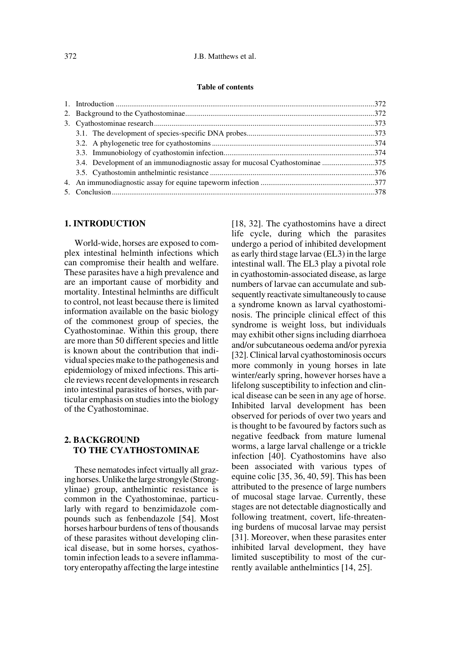# **1. INTRODUCTION**

World-wide, horses are exposed to complex intestinal helminth infections which can compromise their health and welfare. These parasites have a high prevalence and are an important cause of morbidity and mortality. Intestinal helminths are difficult to control, not least because there is limited information available on the basic biology of the commonest group of species, the Cyathostominae. Within this group, there are more than 50 different species and little is known about the contribution that individual species make to the pathogenesis and epidemiology of mixed infections. This article reviews recent developments in research into intestinal parasites of horses, with particular emphasis on studies into the biology of the Cyathostominae.

# **2. BACKGROUND TO THE CYATHOSTOMINAE**

These nematodes infect virtually all grazing horses. Unlike the large strongyle (Strongylinae) group, anthelmintic resistance is common in the Cyathostominae, particularly with regard to benzimidazole compounds such as fenbendazole [54]. Most horses harbour burdens of tens of thousands of these parasites without developing clinical disease, but in some horses, cyathostomin infection leads to a severe inflammatory enteropathy affecting the large intestine [18, 32]. The cyathostomins have a direct life cycle, during which the parasites undergo a period of inhibited development as early third stage larvae (EL3) in the large intestinal wall. The EL3 play a pivotal role in cyathostomin-associated disease, as large numbers of larvae can accumulate and subsequently reactivate simultaneously to cause a syndrome known as larval cyathostominosis. The principle clinical effect of this syndrome is weight loss, but individuals may exhibit other signs including diarrhoea and/or subcutaneous oedema and/or pyrexia [32]. Clinical larval cyathostominosis occurs more commonly in young horses in late winter/early spring, however horses have a lifelong susceptibility to infection and clinical disease can be seen in any age of horse. Inhibited larval development has been observed for periods of over two years and is thought to be favoured by factors such as negative feedback from mature lumenal worms, a large larval challenge or a trickle infection [40]. Cyathostomins have also been associated with various types of equine colic [35, 36, 40, 59]. This has been attributed to the presence of large numbers of mucosal stage larvae. Currently, these stages are not detectable diagnostically and following treatment, covert, life-threatening burdens of mucosal larvae may persist [31]. Moreover, when these parasites enter inhibited larval development, they have limited susceptibility to most of the currently available anthelmintics [14, 25].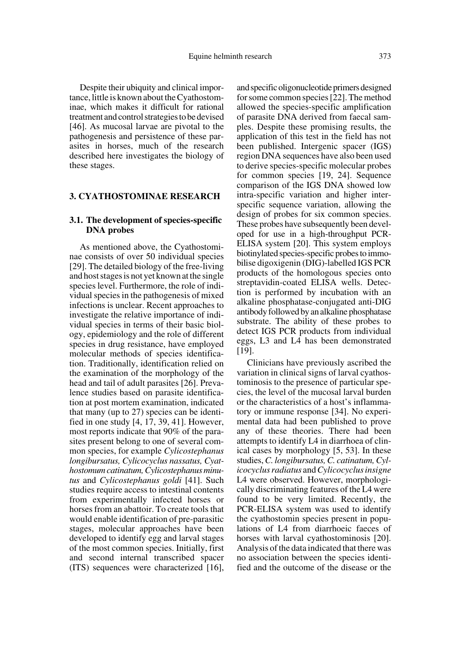Despite their ubiquity and clinical importance, little is known about the Cyathostominae, which makes it difficult for rational treatment and control strategies to be devised [46]. As mucosal larvae are pivotal to the pathogenesis and persistence of these parasites in horses, much of the research described here investigates the biology of these stages.

#### **3. CYATHOSTOMINAE RESEARCH**

# **3.1. The development of species-specific DNA probes**

As mentioned above, the Cyathostominae consists of over 50 individual species [29]. The detailed biology of the free-living and host stages is not yet known at the single species level. Furthermore, the role of individual species in the pathogenesis of mixed infections is unclear. Recent approaches to investigate the relative importance of individual species in terms of their basic biology, epidemiology and the role of different species in drug resistance, have employed molecular methods of species identification. Traditionally, identification relied on the examination of the morphology of the head and tail of adult parasites [26]. Prevalence studies based on parasite identification at post mortem examination, indicated that many (up to 27) species can be identified in one study [4, 17, 39, 41]. However, most reports indicate that 90% of the parasites present belong to one of several common species, for example *Cylicostephanus longibursatus, Cylicocyclus nassatus, Cyathostomum catinatum, Cylicostephanus minutus* and *Cylicostephanus goldi* [41]. Such studies require access to intestinal contents from experimentally infected horses or horses from an abattoir. To create tools that would enable identification of pre-parasitic stages, molecular approaches have been developed to identify egg and larval stages of the most common species. Initially, first and second internal transcribed spacer (ITS) sequences were characterized [16], and specific oligonucleotide primers designed for some common species [22]. The method allowed the species-specific amplification of parasite DNA derived from faecal samples. Despite these promising results, the application of this test in the field has not been published. Intergenic spacer (IGS) region DNA sequences have also been used to derive species-specific molecular probes for common species [19, 24]. Sequence comparison of the IGS DNA showed low intra-specific variation and higher interspecific sequence variation, allowing the design of probes for six common species. These probes have subsequently been developed for use in a high-throughput PCR-ELISA system [20]. This system employs biotinylated species-specific probes to immobilise digoxigenin (DIG)-labelled IGS PCR products of the homologous species onto streptavidin-coated ELISA wells. Detection is performed by incubation with an alkaline phosphatase-conjugated anti-DIG antibody followed by an alkaline phosphatase substrate. The ability of these probes to detect IGS PCR products from individual eggs, L3 and L4 has been demonstrated [19].

Clinicians have previously ascribed the variation in clinical signs of larval cyathostominosis to the presence of particular species, the level of the mucosal larval burden or the characteristics of a host's inflammatory or immune response [34]. No experimental data had been published to prove any of these theories. There had been attempts to identify L4 in diarrhoea of clinical cases by morphology [5, 53]. In these studies, *C. longibursatus, C. catinatum, Cylicocyclus radiatus* and *Cylicocyclus insigne* L4 were observed. However, morphologically discriminating features of the L4 were found to be very limited. Recently, the PCR-ELISA system was used to identify the cyathostomin species present in populations of L4 from diarrhoeic faeces of horses with larval cyathostominosis [20]. Analysis of the data indicated that there was no association between the species identified and the outcome of the disease or the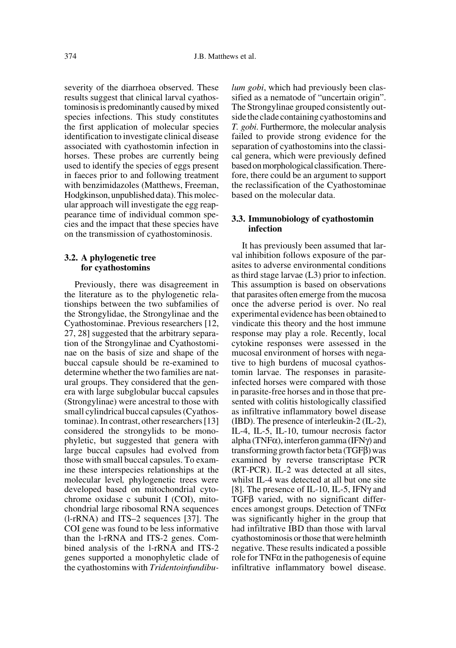severity of the diarrhoea observed. These results suggest that clinical larval cyathostominosis is predominantly caused by mixed species infections. This study constitutes the first application of molecular species identification to investigate clinical disease associated with cyathostomin infection in horses. These probes are currently being used to identify the species of eggs present in faeces prior to and following treatment with benzimidazoles (Matthews, Freeman, Hodgkinson, unpublished data). This molecular approach will investigate the egg reappearance time of individual common species and the impact that these species have on the transmission of cyathostominosis.

#### **3.2. A phylogenetic tree for cyathostomins**

Previously, there was disagreement in the literature as to the phylogenetic relationships between the two subfamilies of the Strongylidae, the Strongylinae and the Cyathostominae. Previous researchers [12, 27, 28] suggested that the arbitrary separation of the Strongylinae and Cyathostominae on the basis of size and shape of the buccal capsule should be re-examined to determine whether the two families are natural groups. They considered that the genera with large subglobular buccal capsules (Strongylinae) were ancestral to those with small cylindrical buccal capsules (Cyathostominae). In contrast, other researchers [13] considered the strongylids to be monophyletic, but suggested that genera with large buccal capsules had evolved from those with small buccal capsules. To examine these interspecies relationships at the molecular level*,* phylogenetic trees were developed based on mitochondrial cytochrome oxidase c subunit I (COI), mitochondrial large ribosomal RNA sequences (l-rRNA) and ITS–2 sequences [37]. The COI gene was found to be less informative than the l-rRNA and ITS-2 genes. Combined analysis of the l-rRNA and ITS-2 genes supported a monophyletic clade of the cyathostomins with *Tridentoinfundibu-* *lum gobi*, which had previously been classified as a nematode of "uncertain origin". The Strongylinae grouped consistently outside the clade containing cyathostomins and *T. gobi*. Furthermore, the molecular analysis failed to provide strong evidence for the separation of cyathostomins into the classical genera, which were previously defined based on morphological classification. Therefore, there could be an argument to support the reclassification of the Cyathostominae based on the molecular data.

# **3.3. Immunobiology of cyathostomin infection**

It has previously been assumed that larval inhibition follows exposure of the parasites to adverse environmental conditions as third stage larvae (L3) prior to infection. This assumption is based on observations that parasites often emerge from the mucosa once the adverse period is over. No real experimental evidence has been obtained to vindicate this theory and the host immune response may play a role. Recently, local cytokine responses were assessed in the mucosal environment of horses with negative to high burdens of mucosal cyathostomin larvae. The responses in parasiteinfected horses were compared with those in parasite-free horses and in those that presented with colitis histologically classified as infiltrative inflammatory bowel disease (IBD). The presence of interleukin-2 (IL-2), IL-4, IL-5, IL-10, tumour necrosis factor alpha (TNF $\alpha$ ), interferon gamma (IFN $\gamma$ ) and transforming growth factor beta (TGFβ) was examined by reverse transcriptase PCR (RT-PCR). IL-2 was detected at all sites, whilst IL-4 was detected at all but one site [8]. The presence of IL-10, IL-5, IFNγ and TGFβ varied, with no significant differences amongst groups. Detection of TNFα was significantly higher in the group that had infiltrative IBD than those with larval cyathostominosis or those that were helminth negative. These results indicated a possible role for  $TNF\alpha$  in the pathogenesis of equine infiltrative inflammatory bowel disease.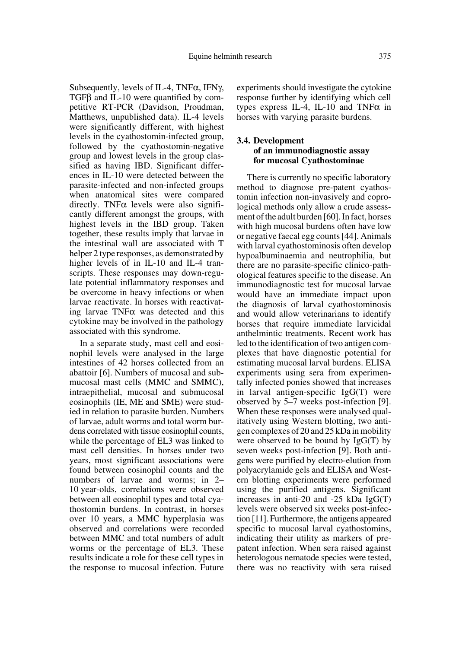Subsequently, levels of IL-4, TNF $\alpha$ , IFN $\gamma$ , TGFβ and IL-10 were quantified by competitive RT-PCR (Davidson, Proudman, Matthews, unpublished data). IL-4 levels were significantly different, with highest levels in the cyathostomin-infected group, followed by the cyathostomin-negative group and lowest levels in the group classified as having IBD. Significant differences in IL-10 were detected between the parasite-infected and non-infected groups when anatomical sites were compared directly. TNF $\alpha$  levels were also significantly different amongst the groups, with highest levels in the IBD group. Taken together, these results imply that larvae in the intestinal wall are associated with T helper 2 type responses, as demonstrated by higher levels of in IL-10 and IL-4 transcripts. These responses may down-regulate potential inflammatory responses and be overcome in heavy infections or when larvae reactivate. In horses with reactivating larvae TNFα was detected and this cytokine may be involved in the pathology associated with this syndrome.

In a separate study, mast cell and eosinophil levels were analysed in the large intestines of 42 horses collected from an abattoir [6]. Numbers of mucosal and submucosal mast cells (MMC and SMMC), intraepithelial, mucosal and submucosal eosinophils (IE, ME and SME) were studied in relation to parasite burden. Numbers of larvae, adult worms and total worm burdens correlated with tissue eosinophil counts, while the percentage of EL3 was linked to mast cell densities. In horses under two years, most significant associations were found between eosinophil counts and the numbers of larvae and worms; in 2– 10 year-olds, correlations were observed between all eosinophil types and total cyathostomin burdens. In contrast, in horses over 10 years, a MMC hyperplasia was observed and correlations were recorded between MMC and total numbers of adult worms or the percentage of EL3. These results indicate a role for these cell types in the response to mucosal infection. Future

experiments should investigate the cytokine response further by identifying which cell types express IL-4, IL-10 and TNF $\alpha$  in horses with varying parasite burdens.

# **3.4. Development of an immunodiagnostic assay for mucosal Cyathostominae**

There is currently no specific laboratory method to diagnose pre-patent cyathostomin infection non-invasively and coprological methods only allow a crude assessment of the adult burden [60]. In fact, horses with high mucosal burdens often have low or negative faecal egg counts [44]. Animals with larval cyathostominosis often develop hypoalbuminaemia and neutrophilia, but there are no parasite-specific clinico-pathological features specific to the disease. An immunodiagnostic test for mucosal larvae would have an immediate impact upon the diagnosis of larval cyathostominosis and would allow veterinarians to identify horses that require immediate larvicidal anthelmintic treatments. Recent work has led to the identification of two antigen complexes that have diagnostic potential for estimating mucosal larval burdens. ELISA experiments using sera from experimentally infected ponies showed that increases in larval antigen-specific IgG(T) were observed by 5–7 weeks post-infection [9]. When these responses were analysed qualitatively using Western blotting, two antigen complexes of 20 and 25 kDa in mobility were observed to be bound by  $IgG(T)$  by seven weeks post-infection [9]. Both antigens were purified by electro-elution from polyacrylamide gels and ELISA and Western blotting experiments were performed using the purified antigens. Significant increases in anti-20 and -25 kDa IgG(T) levels were observed six weeks post-infection [11]. Furthermore, the antigens appeared specific to mucosal larval cyathostomins, indicating their utility as markers of prepatent infection. When sera raised against heterologous nematode species were tested, there was no reactivity with sera raised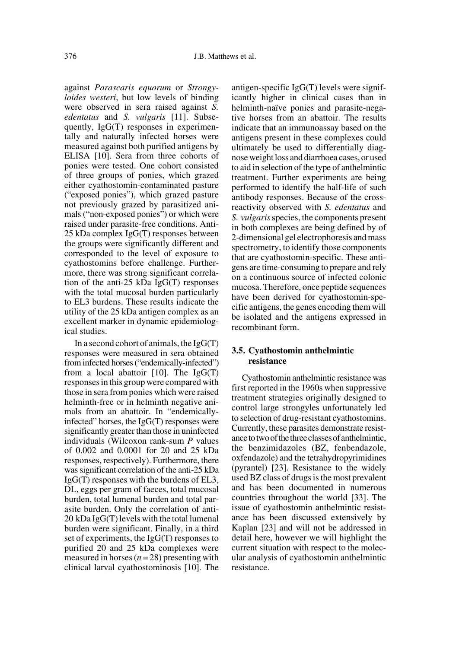against *Parascaris equorum* or *Strongyloides westeri*, but low levels of binding were observed in sera raised against *S. edentatus* and *S. vulgaris* [11]. Subsequently, IgG(T) responses in experimentally and naturally infected horses were measured against both purified antigens by ELISA [10]. Sera from three cohorts of ponies were tested. One cohort consisted of three groups of ponies, which grazed either cyathostomin-contaminated pasture ("exposed ponies"), which grazed pasture not previously grazed by parasitized animals ("non-exposed ponies") or which were raised under parasite-free conditions. Anti-25 kDa complex IgG(T) responses between the groups were significantly different and corresponded to the level of exposure to cyathostomins before challenge. Furthermore, there was strong significant correlation of the anti-25 kDa IgG(T) responses with the total mucosal burden particularly to EL3 burdens. These results indicate the utility of the 25 kDa antigen complex as an excellent marker in dynamic epidemiological studies.

In a second cohort of animals, the  $IgG(T)$ responses were measured in sera obtained from infected horses ("endemically-infected") from a local abattoir  $[10]$ . The IgG(T) responses in this group were compared with those in sera from ponies which were raised helminth-free or in helminth negative animals from an abattoir. In "endemicallyinfected" horses, the IgG(T) responses were significantly greater than those in uninfected individuals (Wilcoxon rank-sum *P* values of 0.002 and 0.0001 for 20 and 25 kDa responses, respectively). Furthermore, there was significant correlation of the anti-25 kDa IgG(T) responses with the burdens of EL3, DL, eggs per gram of faeces, total mucosal burden, total lumenal burden and total parasite burden. Only the correlation of anti-20 kDa IgG(T) levels with the total lumenal burden were significant. Finally, in a third set of experiments, the IgG(T) responses to purified 20 and 25 kDa complexes were measured in horses  $(n = 28)$  presenting with clinical larval cyathostominosis [10]. The antigen-specific IgG(T) levels were significantly higher in clinical cases than in helminth-naïve ponies and parasite-negative horses from an abattoir. The results indicate that an immunoassay based on the antigens present in these complexes could ultimately be used to differentially diagnose weight loss and diarrhoea cases, or used to aid in selection of the type of anthelmintic treatment. Further experiments are being performed to identify the half-life of such antibody responses. Because of the crossreactivity observed with *S. edentatus* and *S. vulgaris* species, the components present in both complexes are being defined by of 2-dimensional gel electrophoresis and mass spectrometry, to identify those components that are cyathostomin-specific. These antigens are time-consuming to prepare and rely on a continuous source of infected colonic mucosa. Therefore, once peptide sequences have been derived for cyathostomin-specific antigens, the genes encoding them will be isolated and the antigens expressed in recombinant form.

#### **3.5. Cyathostomin anthelmintic resistance**

Cyathostomin anthelmintic resistance was first reported in the 1960s when suppressive treatment strategies originally designed to control large strongyles unfortunately led to selection of drug-resistant cyathostomins. Currently, these parasites demonstrate resistance to two of the three classes of anthelmintic, the benzimidazoles (BZ, fenbendazole, oxfendazole) and the tetrahydropyrimidines (pyrantel) [23]. Resistance to the widely used BZ class of drugs is the most prevalent and has been documented in numerous countries throughout the world [33]. The issue of cyathostomin anthelmintic resistance has been discussed extensively by Kaplan [23] and will not be addressed in detail here, however we will highlight the current situation with respect to the molecular analysis of cyathostomin anthelmintic resistance.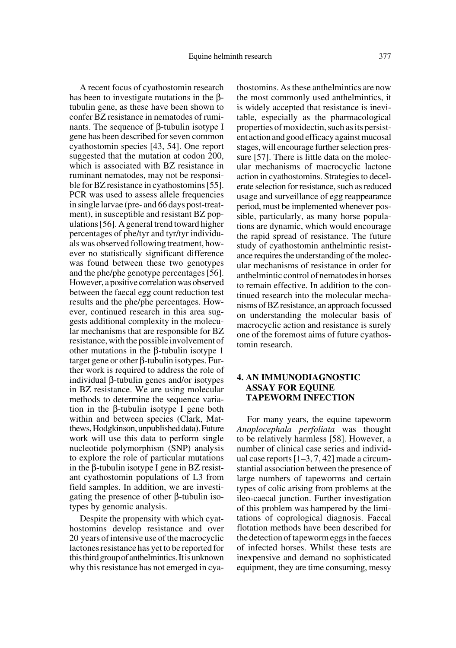A recent focus of cyathostomin research has been to investigate mutations in the βtubulin gene, as these have been shown to confer BZ resistance in nematodes of ruminants. The sequence of β-tubulin isotype I gene has been described for seven common cyathostomin species [43, 54]. One report suggested that the mutation at codon 200, which is associated with BZ resistance in ruminant nematodes, may not be responsible for BZ resistance in cyathostomins [55]. PCR was used to assess allele frequencies in single larvae (pre- and 66 days post-treatment), in susceptible and resistant BZ populations [56]. A general trend toward higher percentages of phe/tyr and tyr/tyr individuals was observed following treatment, however no statistically significant difference was found between these two genotypes and the phe/phe genotype percentages [56]. However, a positive correlation was observed between the faecal egg count reduction test results and the phe/phe percentages. However, continued research in this area suggests additional complexity in the molecular mechanisms that are responsible for BZ resistance, with the possible involvement of other mutations in the β-tubulin isotype 1 target gene or other β-tubulin isotypes. Further work is required to address the role of individual β-tubulin genes and/or isotypes in BZ resistance. We are using molecular methods to determine the sequence variation in the β-tubulin isotype I gene both within and between species (Clark, Matthews, Hodgkinson, unpublished data). Future work will use this data to perform single nucleotide polymorphism (SNP) analysis to explore the role of particular mutations in the β-tubulin isotype I gene in BZ resistant cyathostomin populations of L3 from field samples. In addition, we are investigating the presence of other β-tubulin isotypes by genomic analysis.

Despite the propensity with which cyathostomins develop resistance and over 20 years of intensive use of the macrocyclic lactones resistance has yet to be reported for this third group of anthelmintics. It is unknown why this resistance has not emerged in cyathostomins. As these anthelmintics are now the most commonly used anthelmintics, it is widely accepted that resistance is inevitable, especially as the pharmacological properties of moxidectin, such as its persistent action and good efficacy against mucosal stages, will encourage further selection pressure [57]. There is little data on the molecular mechanisms of macrocyclic lactone action in cyathostomins. Strategies to decelerate selection for resistance, such as reduced usage and surveillance of egg reappearance period, must be implemented whenever possible, particularly, as many horse populations are dynamic, which would encourage the rapid spread of resistance. The future study of cyathostomin anthelmintic resistance requires the understanding of the molecular mechanisms of resistance in order for anthelmintic control of nematodes in horses to remain effective. In addition to the continued research into the molecular mechanisms of BZ resistance, an approach focussed on understanding the molecular basis of macrocyclic action and resistance is surely one of the foremost aims of future cyathostomin research.

# **4. AN IMMUNODIAGNOSTIC ASSAY FOR EQUINE TAPEWORM INFECTION**

For many years, the equine tapeworm *Anoplocephala perfoliata* was thought to be relatively harmless [58]. However, a number of clinical case series and individual case reports [1–3, 7, 42] made a circumstantial association between the presence of large numbers of tapeworms and certain types of colic arising from problems at the ileo-caecal junction. Further investigation of this problem was hampered by the limitations of coprological diagnosis. Faecal flotation methods have been described for the detection of tapeworm eggs in the faeces of infected horses. Whilst these tests are inexpensive and demand no sophisticated equipment, they are time consuming, messy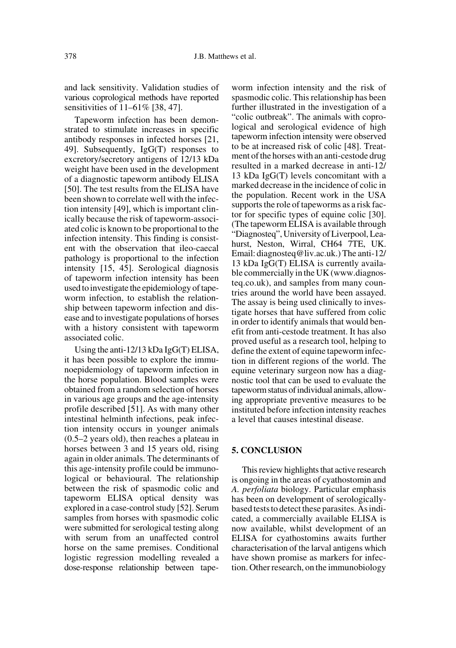and lack sensitivity. Validation studies of various coprological methods have reported sensitivities of 11–61% [38, 47].

Tapeworm infection has been demonstrated to stimulate increases in specific antibody responses in infected horses [21, 49]. Subsequently, IgG(T) responses to excretory/secretory antigens of 12/13 kDa weight have been used in the development of a diagnostic tapeworm antibody ELISA [50]. The test results from the ELISA have been shown to correlate well with the infection intensity [49], which is important clinically because the risk of tapeworm-associated colic is known to be proportional to the infection intensity. This finding is consistent with the observation that ileo-caecal pathology is proportional to the infection intensity [15, 45]. Serological diagnosis of tapeworm infection intensity has been used to investigate the epidemiology of tapeworm infection, to establish the relationship between tapeworm infection and disease and to investigate populations of horses with a history consistent with tapeworm associated colic.

Using the anti-12/13 kDa IgG(T) ELISA, it has been possible to explore the immunoepidemiology of tapeworm infection in the horse population. Blood samples were obtained from a random selection of horses in various age groups and the age-intensity profile described [51]. As with many other intestinal helminth infections, peak infection intensity occurs in younger animals (0.5–2 years old), then reaches a plateau in horses between 3 and 15 years old, rising again in older animals. The determinants of this age-intensity profile could be immunological or behavioural. The relationship between the risk of spasmodic colic and tapeworm ELISA optical density was explored in a case-control study [52]. Serum samples from horses with spasmodic colic were submitted for serological testing along with serum from an unaffected control horse on the same premises. Conditional logistic regression modelling revealed a dose-response relationship between tapeworm infection intensity and the risk of spasmodic colic. This relationship has been further illustrated in the investigation of a "colic outbreak". The animals with coprological and serological evidence of high tapeworm infection intensity were observed to be at increased risk of colic [48]. Treatment of the horses with an anti-cestode drug resulted in a marked decrease in anti-12/ 13 kDa IgG(T) levels concomitant with a marked decrease in the incidence of colic in the population. Recent work in the USA supports the role of tapeworms as a risk factor for specific types of equine colic [30]. (The tapeworm ELISA is available through "Diagnosteq", University of Liverpool, Leahurst, Neston, Wirral, CH64 7TE, UK. Email: diagnosteq@liv.ac.uk.) The anti-12/ 13 kDa IgG(T) ELISA is currently available commercially in the UK (www.diagnosteq.co.uk), and samples from many countries around the world have been assayed. The assay is being used clinically to investigate horses that have suffered from colic in order to identify animals that would benefit from anti-cestode treatment. It has also proved useful as a research tool, helping to define the extent of equine tapeworm infection in different regions of the world. The equine veterinary surgeon now has a diagnostic tool that can be used to evaluate the tapeworm status of individual animals, allowing appropriate preventive measures to be instituted before infection intensity reaches a level that causes intestinal disease.

### **5. CONCLUSION**

This review highlights that active research is ongoing in the areas of cyathostomin and *A. perfoliata* biology. Particular emphasis has been on development of serologicallybased tests to detect these parasites. As indicated, a commercially available ELISA is now available, whilst development of an ELISA for cyathostomins awaits further characterisation of the larval antigens which have shown promise as markers for infection. Other research, on the immunobiology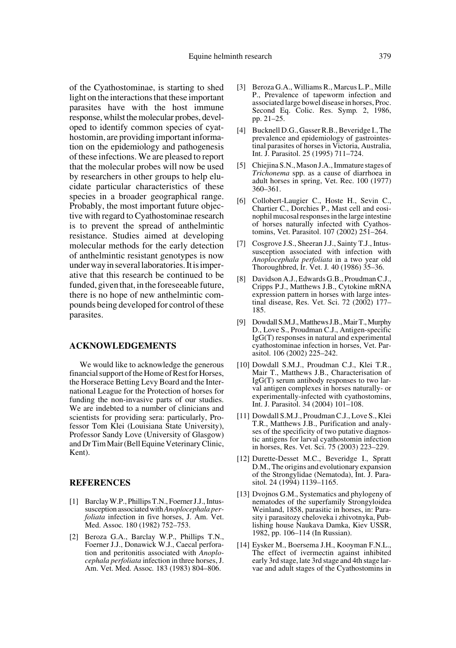of the Cyathostominae, is starting to shed light on the interactions that these important parasites have with the host immune response, whilst the molecular probes, developed to identify common species of cyathostomin, are providing important information on the epidemiology and pathogenesis of these infections. We are pleased to report that the molecular probes will now be used by researchers in other groups to help elucidate particular characteristics of these species in a broader geographical range. Probably, the most important future objective with regard to Cyathostominae research is to prevent the spread of anthelmintic resistance. Studies aimed at developing molecular methods for the early detection of anthelmintic resistant genotypes is now under way in several laboratories. It is imperative that this research be continued to be funded, given that, in the foreseeable future, there is no hope of new anthelmintic compounds being developed for control of these parasites.

#### **ACKNOWLEDGEMENTS**

We would like to acknowledge the generous financial support of the Home of Rest for Horses, the Horserace Betting Levy Board and the International League for the Protection of horses for funding the non-invasive parts of our studies. We are indebted to a number of clinicians and scientists for providing sera: particularly, Professor Tom Klei (Louisiana State University), Professor Sandy Love (University of Glasgow) and Dr Tim Mair (Bell Equine Veterinary Clinic, Kent).

#### **REFERENCES**

- [1] Barclay W.P., Phillips T.N., Foerner J.J., Intussusception associated with *Anoplocephala perfoliata* infection in five horses, J. Am. Vet. Med. Assoc*.* 180 (1982) 752–753.
- [2] Beroza G.A., Barclay W.P., Phillips T.N., Foerner J.J., Donawick W.J., Caecal perforation and peritonitis associated with *Anoplocephala perfoliata* infection in three horses, J. Am. Vet. Med. Assoc*.* 183 (1983) 804–806.
- [3] Beroza G.A., Williams R., Marcus L.P., Mille P., Prevalence of tapeworm infection and associated large bowel disease in horses, Proc. Second Eq. Colic. Res. Symp*.* 2, 1986, pp. 21–25.
- [4] Bucknell D.G., Gasser R.B., Beveridge I., The prevalence and epidemiology of gastrointestinal parasites of horses in Victoria, Australia, Int. J. Parasitol. 25 (1995) 711–724.
- [5] Chiejina S.N., Mason J.A., Immature stages of *Trichonema* spp. as a cause of diarrhoea in adult horses in spring, Vet. Rec. 100 (1977) 360–361.
- [6] Collobert-Laugier C., Hoste H., Sevin C., Chartier C., Dorchies P., Mast cell and eosinophil mucosal responses in the large intestine of horses naturally infected with Cyathostomins, Vet. Parasitol. 107 (2002) 251–264.
- [7] Cosgrove J.S., Sheeran J.J., Sainty T.J., Intussusception associated with infection with *Anoplocephala perfoliata* in a two year old Thoroughbred, Ir. Vet. J*.* 40 (1986) 35–36.
- [8] Davidson A.J., Edwards G.B., Proudman C.J., Cripps P.J., Matthews J.B., Cytokine mRNA expression pattern in horses with large intestinal disease, Res. Vet. Sci. 72 (2002) 177– 185.
- [9] Dowdall S.M.J., Matthews J.B., Mair T., Murphy D., Love S., Proudman C.J., Antigen-specific IgG(T) responses in natural and experimental cyathostominae infection in horses, Vet. Parasitol. 106 (2002) 225–242.
- [10] Dowdall S.M.J., Proudman C.J., Klei T.R., Mair T., Matthews J.B., Characterisation of IgG(T) serum antibody responses to two larval antigen complexes in horses naturally- or experimentally-infected with cyathostomins, Int. J. Parasitol. 34 (2004) 101–108.
- [11] Dowdall S.M.J., Proudman C.J., Love S., Klei T.R., Matthews J.B., Purification and analyses of the specificity of two putative diagnostic antigens for larval cyathostomin infection in horses, Res. Vet. Sci. 75 (2003) 223–229.
- [12] Durette-Desset M.C., Beveridge I., Spratt D.M., The origins and evolutionary expansion of the Strongylidae (Nematoda), Int. J. Parasitol*.* 24 (1994) 1139–1165.
- [13] Dvojnos G.M., Systematics and phylogeny of nematodes of the superfamily Strongyloidea Weinland, 1858, parasitic in horses, in: Parasity i parasitozy cheloveka i zhivotnyka, Publishing house Naukava Damka, Kiev USSR, 1982, pp. 106–114 (In Russian).
- [14] Eysker M., Boersema J.H., Kooyman F.N.L., The effect of ivermectin against inhibited early 3rd stage, late 3rd stage and 4th stage larvae and adult stages of the Cyathostomins in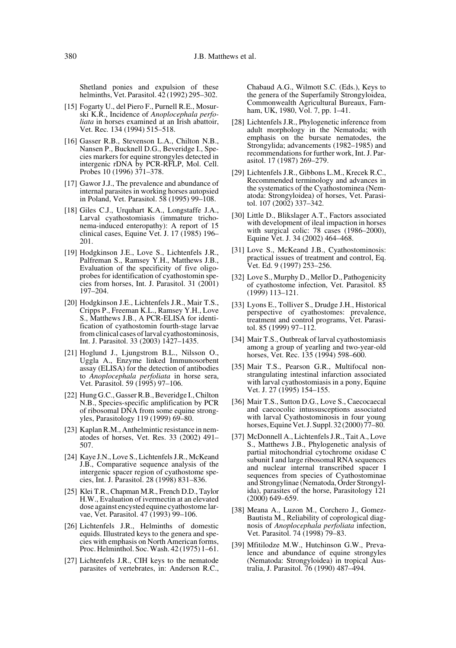Shetland ponies and expulsion of these helminths, Vet. Parasitol. 42 (1992) 295–302.

- [15] Fogarty U., del Piero F., Purnell R.E., Mosurski K.R., Incidence of *Anoplocephala perfoliata* in horses examined at an Irish abattoir, Vet. Rec*.* 134 (1994) 515–518.
- [16] Gasser R.B., Stevenson L.A., Chilton N.B., Nansen P., Bucknell D.G., Beveridge I., Species markers for equine strongyles detected in intergenic rDNA by PCR-RFLP, Mol. Cell. Probes 10 (1996) 371–378.
- [17] Gawor J.J., The prevalence and abundance of internal parasites in working horses autopsied in Poland, Vet. Parasitol. 58 (1995) 99–108.
- [18] Giles C.J., Urquhart K.A., Longstaffe J.A., Larval cyathostomiasis (immature trichonema-induced enteropathy): A report of 15 clinical cases, Equine Vet. J. 17 (1985) 196– 201.
- [19] Hodgkinson J.E., Love S., Lichtenfels J.R., Palfreman S., Ramsey Y.H., Matthews J.B., Evaluation of the specificity of five oligoprobes for identification of cyathostomin species from horses, Int. J. Parasitol. 31 (2001) 197–204.
- [20] Hodgkinson J.E., Lichtenfels J.R., Mair T.S., Cripps P., Freeman K.L., Ramsey Y.H., Love S., Matthews J.B., A PCR-ELISA for identification of cyathostomin fourth-stage larvae from clinical cases of larval cyathostominosis, Int. J. Parasitol. 33 (2003) 1427–1435.
- [21] Hoglund J., Ljungstrom B.L., Nilsson O., Uggla A., Enzyme linked Immunosorbent assay (ELISA) for the detection of antibodies to *Anoplocephala perfoliata* in horse sera, Vet. Parasitol. 59 (1995) 97–106.
- [22] Hung G.C., Gasser R.B., Beveridge I., Chilton N.B., Species-specific amplification by PCR of ribosomal DNA from some equine strongyles, Parasitology 119 (1999) 69–80.
- [23] Kaplan R.M., Anthelmintic resistance in nematodes of horses, Vet. Res. 33 (2002) 491– 507.
- [24] Kaye J.N., Love S., Lichtenfels J.R., McKeand J.B., Comparative sequence analysis of the intergenic spacer region of cyathostome species, Int. J. Parasitol. 28 (1998) 831–836.
- [25] Klei T.R., Chapman M.R., French D.D., Taylor H.W., Evaluation of ivermectin at an elevated dose against encysted equine cyathostome larvae, Vet. Parasitol. 47 (1993) 99–106.
- [26] Lichtenfels J.R., Helminths of domestic equids. Illustrated keys to the genera and species with emphasis on North American forms, Proc. Helminthol. Soc. Wash. 42 (1975) 1–61.
- [27] Lichtenfels J.R., CIH keys to the nematode parasites of vertebrates, in: Anderson R.C.,

Chabaud A.G., Wilmott S.C. (Eds.), Keys to the genera of the Superfamily Strongyloidea, Commonwealth Agricultural Bureaux, Farnham, UK, 1980, Vol. 7, pp. 1-41.

- [28] Lichtenfels J.R., Phylogenetic inference from adult morphology in the Nematoda; with emphasis on the bursate nematodes, the Strongylida; advancements (1982–1985) and recommendations for further work, Int. J. Parasitol. 17 (1987) 269–279.
- [29] Lichtenfels J.R., Gibbons L.M., Krecek R.C., Recommended terminology and advances in the systematics of the Cyathostominea (Nematoda: Strongyloidea) of horses, Vet. Parasitol. 107 (2002) 337–342.
- [30] Little D., Blikslager A.T., Factors associated with development of ileal impaction in horses with surgical colic: 78 cases (1986–2000), Equine Vet. J. 34 (2002) 464–468.
- [31] Love S., McKeand J.B., Cyathostominosis: practical issues of treatment and control, Eq. Vet. Ed. 9 (1997) 253–256.
- [32] Love S., Murphy D., Mellor D., Pathogenicity of cyathostome infection, Vet. Parasitol. 85 (1999) 113–121.
- [33] Lyons E., Tolliver S., Drudge J.H., Historical perspective of cyathostomes: prevalence, treatment and control programs, Vet. Parasitol. 85 (1999) 97–112.
- [34] Mair T.S., Outbreak of larval cyathostomiasis among a group of yearling and two-year-old horses, Vet. Rec. 135 (1994) 598-600.
- [35] Mair T.S., Pearson G.R., Multifocal nonstrangulating intestinal infarction associated with larval cyathostomiasis in a pony, Equine Vet. J. 27 (1995) 154–155.
- [36] Mair T.S., Sutton D.G., Love S., Caecocaecal and caecocolic intussusceptions associated with larval Cyathostominosis in four young horses, Equine Vet. J. Suppl. 32 (2000) 77–80.
- [37] McDonnell A., Lichtenfels J.R., Tait A., Love S., Matthews J.B., Phylogenetic analysis of partial mitochondrial cytochrome oxidase C subunit I and large ribosomal RNA sequences and nuclear internal transcribed spacer I sequences from species of Cyathostominae and Strongylinae (Nematoda, Order Strongylida), parasites of the horse, Parasitology 121 (2000) 649–659.
- [38] Meana A., Luzon M., Corchero J., Gomez-Bautista M., Reliability of coprological diagnosis of *Anoplocephala perfoliata* infection, Vet. Parasitol. 74 (1998) 79–83.
- [39] Mfitilodze M.W., Hutchinson G.W., Prevalence and abundance of equine strongyles (Nematoda: Strongyloidea) in tropical Australia, J. Parasitol. 76 (1990) 487–494.